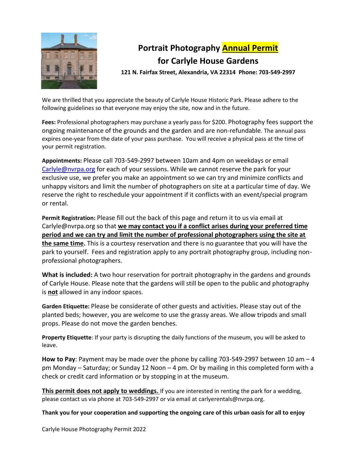

## **Portrait Photography Annual Permit for Carlyle House Gardens**

**121 N. Fairfax Street, Alexandria, VA 22314 Phone: 703-549-2997**

We are thrilled that you appreciate the beauty of Carlyle House Historic Park. Please adhere to the following guidelines so that everyone may enjoy the site, now and in the future.

**Fees:** Professional photographers may purchase a yearly pass for \$200. Photography fees support the ongoing maintenance of the grounds and the garden and are non-refundable. The annual pass expires one-year from the date of your pass purchase. You will receive a physical pass at the time of your permit registration.

**Appointments:** Please call 703-549-2997 between 10am and 4pm on weekdays or email [Carlyle@nvrpa.org](mailto:Carlyle@nvrpa.org) for each of your sessions. While we cannot reserve the park for your exclusive use, we prefer you make an appointment so we can try and minimize conflicts and unhappy visitors and limit the number of photographers on site at a particular time of day. We reserve the right to reschedule your appointment if it conflicts with an event/special program or rental.

**Permit Registration:** Please fill out the back of this page and return it to us via email at Carlyle@nvrpa.org so that **we may contact you if a conflict arises during your preferred time period and we can try and limit the number of professional photographers using the site at the same time.** This is a courtesy reservation and there is no guarantee that you will have the park to yourself. Fees and registration apply to any portrait photography group, including nonprofessional photographers.

**What is included:** A two hour reservation for portrait photography in the gardens and grounds of Carlyle House. Please note that the gardens will still be open to the public and photography is **not** allowed in any indoor spaces.

**Garden Etiquette:** Please be considerate of other guests and activities. Please stay out of the planted beds; however, you are welcome to use the grassy areas. We allow tripods and small props. Please do not move the garden benches.

**Property Etiquette**: If your party is disrupting the daily functions of the museum, you will be asked to leave.

**How to Pay**: Payment may be made over the phone by calling 703-549-2997 between 10 am – 4 pm Monday – Saturday; or Sunday 12 Noon – 4 pm. Or by mailing in this completed form with a check or credit card information or by stopping in at the museum.

**This permit does not apply to weddings.** If you are interested in renting the park for a wedding, please contact us via phone at 703-549-2997 or via email at carlyerentals@nvrpa.org.

**Thank you for your cooperation and supporting the ongoing care of this urban oasis for all to enjoy**

Carlyle House Photography Permit 2022